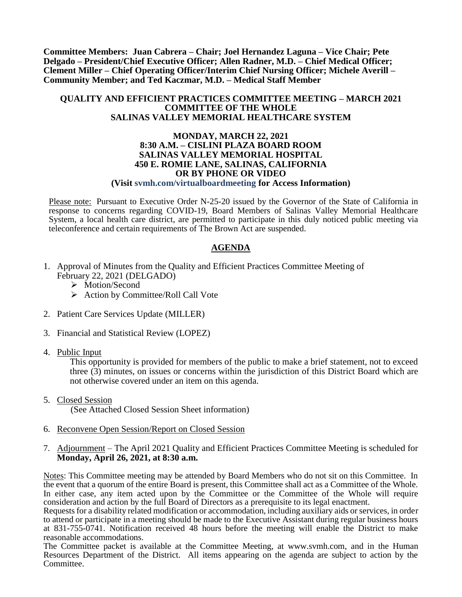**Committee Members: Juan Cabrera – Chair; Joel Hernandez Laguna – Vice Chair; Pete Delgado – President/Chief Executive Officer; Allen Radner, M.D. – Chief Medical Officer; Clement Miller – Chief Operating Officer/Interim Chief Nursing Officer; Michele Averill – Community Member; and Ted Kaczmar, M.D. – Medical Staff Member**

### **QUALITY AND EFFICIENT PRACTICES COMMITTEE MEETING – MARCH 2021 COMMITTEE OF THE WHOLE SALINAS VALLEY MEMORIAL HEALTHCARE SYSTEM**

#### **MONDAY, MARCH 22, 2021 8:30 A.M. – CISLINI PLAZA BOARD ROOM SALINAS VALLEY MEMORIAL HOSPITAL 450 E. ROMIE LANE, SALINAS, CALIFORNIA OR BY PHONE OR VIDEO (Visit svmh.com/virtualboardmeeting for Access Information)**

Please note: Pursuant to Executive Order N-25-20 issued by the Governor of the State of California in response to concerns regarding COVID-19, Board Members of Salinas Valley Memorial Healthcare System, a local health care district, are permitted to participate in this duly noticed public meeting via teleconference and certain requirements of The Brown Act are suspended.

### **AGENDA**

- 1. Approval of Minutes from the Quality and Efficient Practices Committee Meeting of February 22, 2021 (DELGADO)
	- > Motion/Second
	- $\triangleright$  Action by Committee/Roll Call Vote
- 2. Patient Care Services Update (MILLER)
- 3. Financial and Statistical Review (LOPEZ)
- 4. Public Input

This opportunity is provided for members of the public to make a brief statement, not to exceed three (3) minutes, on issues or concerns within the jurisdiction of this District Board which are not otherwise covered under an item on this agenda.

- 5. Closed Session (See Attached Closed Session Sheet information)
- 6. Reconvene Open Session/Report on Closed Session
- 7. Adjournment The April 2021 Quality and Efficient Practices Committee Meeting is scheduled for **Monday, April 26, 2021, at 8:30 a.m.**

Notes: This Committee meeting may be attended by Board Members who do not sit on this Committee. In the event that a quorum of the entire Board is present, this Committee shall act as a Committee of the Whole. In either case, any item acted upon by the Committee or the Committee of the Whole will require consideration and action by the full Board of Directors as a prerequisite to its legal enactment.

Requests for a disability related modification or accommodation, including auxiliary aids or services, in order to attend or participate in a meeting should be made to the Executive Assistant during regular business hours at 831-755-0741. Notification received 48 hours before the meeting will enable the District to make reasonable accommodations.

The Committee packet is available at the Committee Meeting, at www.svmh.com, and in the Human Resources Department of the District. All items appearing on the agenda are subject to action by the Committee.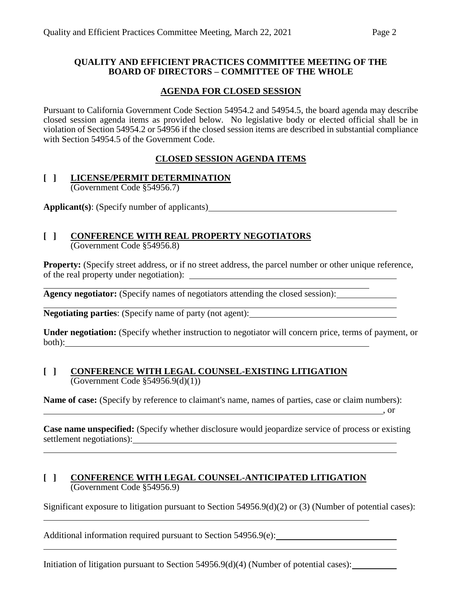### **QUALITY AND EFFICIENT PRACTICES COMMITTEE MEETING OF THE BOARD OF DIRECTORS – COMMITTEE OF THE WHOLE**

## **AGENDA FOR CLOSED SESSION**

Pursuant to California Government Code Section 54954.2 and 54954.5, the board agenda may describe closed session agenda items as provided below. No legislative body or elected official shall be in violation of Section 54954.2 or 54956 if the closed session items are described in substantial compliance with Section 54954.5 of the Government Code.

## **CLOSED SESSION AGENDA ITEMS**

### **[ ] LICENSE/PERMIT DETERMINATION** (Government Code §54956.7)

**Applicant(s)**: (Specify number of applicants)

# **[ ] CONFERENCE WITH REAL PROPERTY NEGOTIATORS**

(Government Code §54956.8)

**Property:** (Specify street address, or if no street address, the parcel number or other unique reference, of the real property under negotiation):

**Agency negotiator:** (Specify names of negotiators attending the closed session):

**Negotiating parties**: (Specify name of party (not agent):

**Under negotiation:** (Specify whether instruction to negotiator will concern price, terms of payment, or both):

## **[ ] CONFERENCE WITH LEGAL COUNSEL-EXISTING LITIGATION** (Government Code §54956.9(d)(1))

**Name of case:** (Specify by reference to claimant's name, names of parties, case or claim numbers):

**Case name unspecified:** (Specify whether disclosure would jeopardize service of process or existing settlement negotiations):

, or

## **[ ] CONFERENCE WITH LEGAL COUNSEL-ANTICIPATED LITIGATION** (Government Code §54956.9)

Significant exposure to litigation pursuant to Section 54956.9(d)(2) or (3) (Number of potential cases):

Additional information required pursuant to Section 54956.9(e):

Initiation of litigation pursuant to Section 54956.9(d)(4) (Number of potential cases):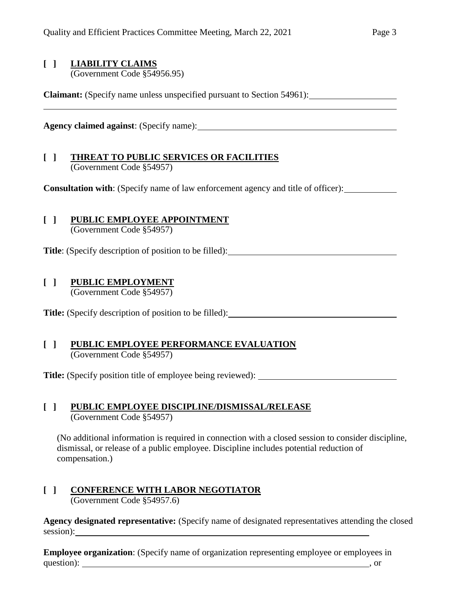## **[ ] LIABILITY CLAIMS**

(Government Code §54956.95)

**Claimant:** (Specify name unless unspecified pursuant to Section 54961):

**Agency claimed against**: (Specify name):

## **[ ] THREAT TO PUBLIC SERVICES OR FACILITIES** (Government Code §54957)

**Consultation with**: (Specify name of law enforcement agency and title of officer):

# **[ ] PUBLIC EMPLOYEE APPOINTMENT**

(Government Code §54957)

**Title**: (Specify description of position to be filled):

# **[ ] PUBLIC EMPLOYMENT**

(Government Code §54957)

**Title:** (Specify description of position to be filled):

## **[ ] PUBLIC EMPLOYEE PERFORMANCE EVALUATION** (Government Code §54957)

**Title:** (Specify position title of employee being reviewed):

## **[ ] PUBLIC EMPLOYEE DISCIPLINE/DISMISSAL/RELEASE** (Government Code §54957)

(No additional information is required in connection with a closed session to consider discipline, dismissal, or release of a public employee. Discipline includes potential reduction of compensation.)

### **[ ] CONFERENCE WITH LABOR NEGOTIATOR** (Government Code §54957.6)

**Agency designated representative:** (Specify name of designated representatives attending the closed session):

**Employee organization**: (Specify name of organization representing employee or employees in question): solution and the contract of the contract of the contract of the contract of the contract of the contract of the contract of the contract of the contract of the contract of the contract of the contract of the co